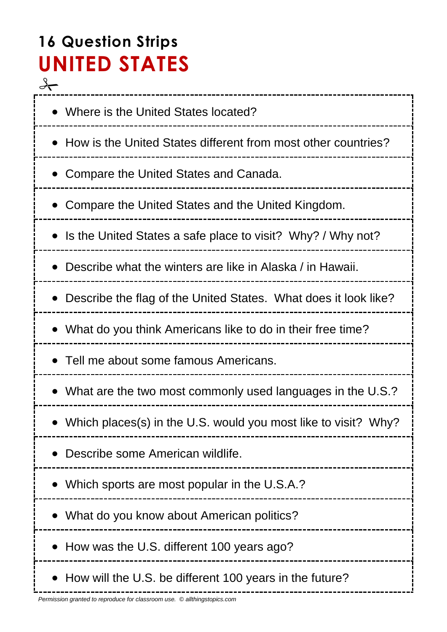# **16 Question Strips UNITED STATES**

 $\rightarrow$ • Where is the United States located? • How is the United States different from most other countries? Compare the United States and Canada. Compare the United States and the United Kingdom. • Is the United States a safe place to visit? Why? / Why not? Describe what the winters are like in Alaska / in Hawaii. Describe the flag of the United States. What does it look like? What do you think Americans like to do in their free time? • Tell me about some famous Americans. What are the two most commonly used languages in the U.S.? Which places(s) in the U.S. would you most like to visit? Why? Describe some American wildlife. Which sports are most popular in the U.S.A.? What do you know about American politics? • How was the U.S. different 100 years ago? • How will the U.S. be different 100 years in the future?